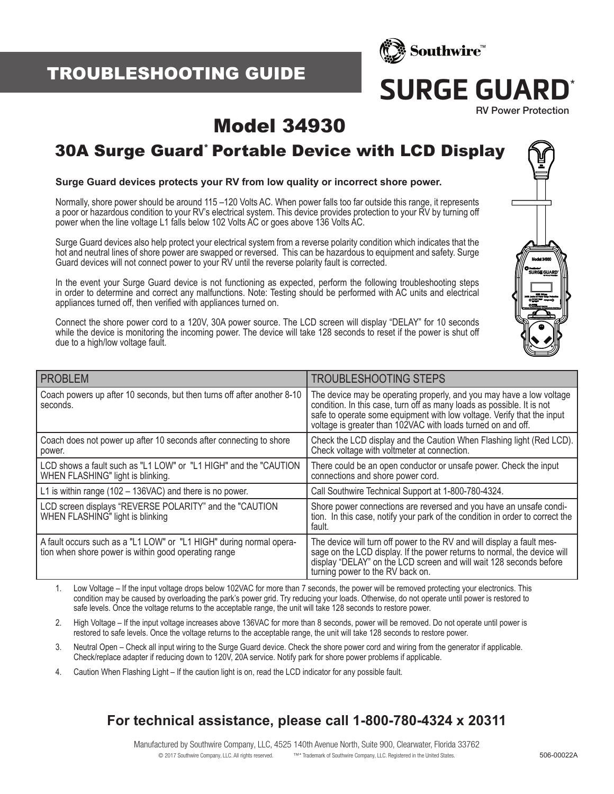# TROUBLESHOOTING GUIDE



# **SURGE GUARD**

RV Power Protection

# Model 34930

### 30A Surge Guard\* Portable Device with LCD Display

#### **Surge Guard devices protects your RV from low quality or incorrect shore power.**

Normally, shore power should be around 115 –120 Volts AC. When power falls too far outside this range, it represents a poor or hazardous condition to your RV's electrical system. This device provides protection to your RV by turning off power when the line voltage L1 falls below 102 Volts AC or goes above 136 Volts AC.

Surge Guard devices also help protect your electrical system from a reverse polarity condition which indicates that the hot and neutral lines of shore power are swapped or reversed. This can be hazardous to equipment and safety. Surge Guard devices will not connect power to your RV until the reverse polarity fault is corrected.

In the event your Surge Guard device is not functioning as expected, perform the following troubleshooting steps in order to determine and correct any malfunctions. Note: Testing should be performed with AC units and electrical appliances turned off, then verified with appliances turned on.

Connect the shore power cord to a 120V, 30A power source. The LCD screen will display "DELAY" for 10 seconds while the device is monitoring the incoming power. The device will take 128 seconds to reset if the power is shut off due to a high/low voltage fault.

| <b>PROBLEM</b>                                                                                                              | <b>TROUBLESHOOTING STEPS</b>                                                                                                                                                                                                                                                             |
|-----------------------------------------------------------------------------------------------------------------------------|------------------------------------------------------------------------------------------------------------------------------------------------------------------------------------------------------------------------------------------------------------------------------------------|
| Coach powers up after 10 seconds, but then turns off after another 8-10<br>seconds.                                         | The device may be operating properly, and you may have a low voltage<br>condition. In this case, turn off as many loads as possible. It is not<br>safe to operate some equipment with low voltage. Verify that the input<br>voltage is greater than 102VAC with loads turned on and off. |
| Coach does not power up after 10 seconds after connecting to shore<br>power.                                                | Check the LCD display and the Caution When Flashing light (Red LCD).<br>Check voltage with voltmeter at connection.                                                                                                                                                                      |
| LCD shows a fault such as "L1 LOW" or "L1 HIGH" and the "CAUTION<br>WHEN FLASHING" light is blinking.                       | There could be an open conductor or unsafe power. Check the input<br>connections and shore power cord.                                                                                                                                                                                   |
| L1 is within range $(102 - 136VAC)$ and there is no power.                                                                  | Call Southwire Technical Support at 1-800-780-4324.                                                                                                                                                                                                                                      |
| LCD screen displays "REVERSE POLARITY" and the "CAUTION<br>WHEN FLASHING" light is blinking                                 | Shore power connections are reversed and you have an unsafe condi-<br>tion. In this case, notify your park of the condition in order to correct the<br>fault.                                                                                                                            |
| A fault occurs such as a "L1 LOW" or "L1 HIGH" during normal opera-<br>tion when shore power is within good operating range | The device will turn off power to the RV and will display a fault mes-<br>sage on the LCD display. If the power returns to normal, the device will<br>display "DELAY" on the LCD screen and will wait 128 seconds before<br>turning power to the RV back on.                             |

1. Low Voltage – If the input voltage drops below 102VAC for more than 7 seconds, the power will be removed protecting your electronics. This condition may be caused by overloading the park's power grid. Try reducing your loads. Otherwise, do not operate until power is restored to safe levels. Once the voltage returns to the acceptable range, the unit will take 128 seconds to restore power.

- 2. High Voltage If the input voltage increases above 136VAC for more than 8 seconds, power will be removed. Do not operate until power is restored to safe levels. Once the voltage returns to the acceptable range, the unit will take 128 seconds to restore power.
- 3. Neutral Open Check all input wiring to the Surge Guard device. Check the shore power cord and wiring from the generator if applicable. Check/replace adapter if reducing down to 120V, 20A service. Notify park for shore power problems if applicable.
- 4. Caution When Flashing Light If the caution light is on, read the LCD indicator for any possible fault.

### **For technical assistance, please call 1-800-780-4324 x 20311**